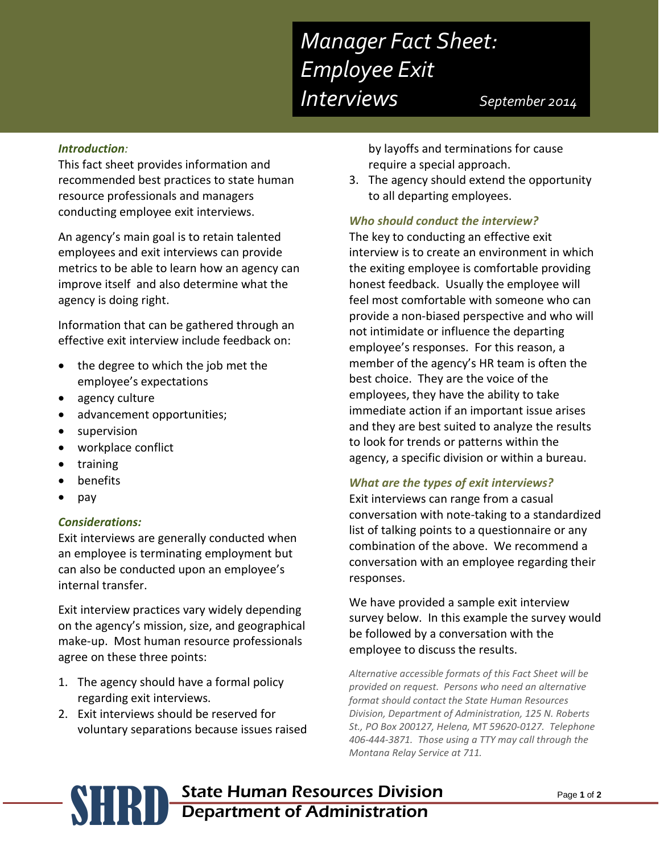# *Manager Fact Sheet: Employee Exit Interviews September <sup>2014</sup>*

#### *Introduction:*

This fact sheet provides information and recommended best practices to state human resource professionals and managers conducting employee exit interviews.

An agency's main goal is to retain talented employees and exit interviews can provide metrics to be able to learn how an agency can improve itself and also determine what the agency is doing right.

Information that can be gathered through an effective exit interview include feedback on:

- the degree to which the job met the employee's expectations
- agency culture
- advancement opportunities;
- supervision
- workplace conflict
- training
- benefits
- pay

#### *Considerations:*

Exit interviews are generally conducted when an employee is terminating employment but can also be conducted upon an employee's internal transfer.

Exit interview practices vary widely depending on the agency's mission, size, and geographical make-up. Most human resource professionals agree on these three points:

- 1. The agency should have a formal policy regarding exit interviews.
- 2. Exit interviews should be reserved for voluntary separations because issues raised

by layoffs and terminations for cause require a special approach.

3. The agency should extend the opportunity to all departing employees.

#### *Who should conduct the interview?*

The key to conducting an effective exit interview is to create an environment in which the exiting employee is comfortable providing honest feedback. Usually the employee will feel most comfortable with someone who can provide a non-biased perspective and who will not intimidate or influence the departing employee's responses. For this reason, a member of the agency's HR team is often the best choice. They are the voice of the employees, they have the ability to take immediate action if an important issue arises and they are best suited to analyze the results to look for trends or patterns within the agency, a specific division or within a bureau.

#### *What are the types of exit interviews?*

Exit interviews can range from a casual conversation with note-taking to a standardized list of talking points to a questionnaire or any combination of the above. We recommend a conversation with an employee regarding their responses.

We have provided a sample exit interview survey below. In this example the survey would be followed by a conversation with the employee to discuss the results.

*Alternative accessible formats of this Fact Sheet will be provided on request. Persons who need an alternative format should contact the State Human Resources Division, Department of Administration, 125 N. Roberts St., PO Box 200127, Helena, MT 59620-0127. Telephone 406-444-3871. Those using a TTY may call through the Montana Relay Service at 711.*

## **SHRID** State Human Resources Division<br>Department of Administration Department of Administration